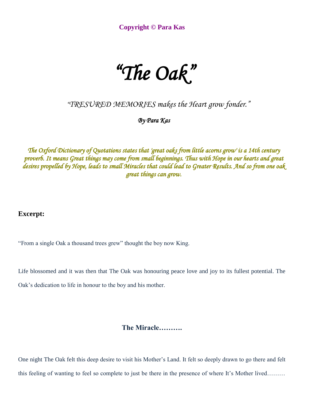**Copyright © Para Kas** 

## *"The Oak"*

*"TRESURED MEMORIES makes the Heart grow fonder."*

*By Para Kas* 

*The Oxford Dictionary of Quotations states that 'great oaks from little acorns grow' is a 14th century proverb. It means Great things may come from small beginnings. Thus with Hope in our hearts and great desires propelled by Hope, leads to small Miracles that could lead to Greater Results. And so from one oak great things can grow.* 

**Excerpt:** 

"From a single Oak a thousand trees grew" thought the boy now King.

Life blossomed and it was then that The Oak was honouring peace love and joy to its fullest potential. The Oak's dedication to life in honour to the boy and his mother.

**The Miracle……….**

One night The Oak felt this deep desire to visit his Mother's Land. It felt so deeply drawn to go there and felt this feeling of wanting to feel so complete to just be there in the presence of where It's Mother lived………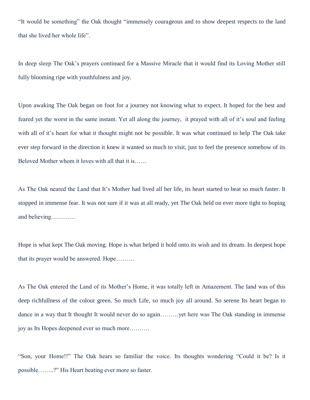"It would be something" the Oak thought "immensely courageous and to show deepest respects to the land that she lived her whole life".

In deep sleep The Oak's prayers continued for a Massive Miracle that it would find its Loving Mother still fully blooming ripe with youthfulness and joy.

Upon awaking The Oak began on foot for a journey not knowing what to expect. It hoped for the best and feared yet the worst in the same instant. Yet all along the journey, it prayed with all of it's soul and feeling with all of it's heart for what it thought might not be possible. It was what continued to help The Oak take ever step forward in the direction it knew it wanted so much to visit, just to feel the presence somehow of its Beloved Mother whom it loves with all that it is……

As The Oak neared the Land that It's Mother had lived all her life, its heart started to beat so much faster. It stopped in immense fear. It was not sure if it was at all ready, yet The Oak held on ever more tight to hoping and believing…………

Hope is what kept The Oak moving. Hope is what helped it hold onto its wish and its dream. In deepest hope that its prayer would be answered. Hope………

As The Oak entered the Land of its Mother's Home, it was totally left in Amazement. The land was of this deep richfullness of the colour green. So much Life, so much joy all around. So serene Its heart began to dance in a way that It thought It would never do so again………yet here was The Oak standing in immense joy as Its Hopes deepened ever so much more……….

"Son, your Home!!" The Oak hears so familiar the voice. Its thoughts wondering "Could it be? Is it possible……..?" His Heart beating ever more so faster.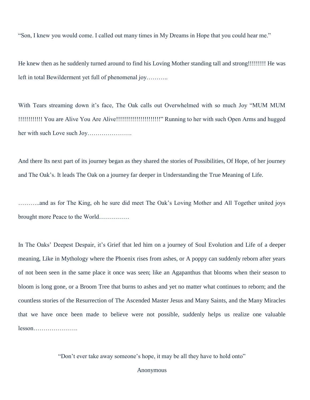"Son, I knew you would come. I called out many times in My Dreams in Hope that you could hear me."

He knew then as he suddenly turned around to find his Loving Mother standing tall and strong!!!!!!!!! He was left in total Bewilderment yet full of phenomenal joy………..

With Tears streaming down it's face, The Oak calls out Overwhelmed with so much Joy "MUM MUM !!!!!!!!!!!! You are Alive You Are Alive!!!!!!!!!!!!!!!!!!!!!!" Running to her with such Open Arms and hugged her with such Love such Joy………………….

And there Its next part of its journey began as they shared the stories of Possibilities, Of Hope, of her journey and The Oak's. It leads The Oak on a journey far deeper in Understanding the True Meaning of Life.

………..and as for The King, oh he sure did meet The Oak's Loving Mother and All Together united joys brought more Peace to the World……………

In The Oaks' Deepest Despair, it's Grief that led him on a journey of Soul Evolution and Life of a deeper meaning, Like in Mythology where the Phoenix rises from ashes, or A poppy can suddenly reborn after years of not been seen in the same place it once was seen; like an Agapanthus that blooms when their season to bloom is long gone, or a Broom Tree that burns to ashes and yet no matter what continues to reborn; and the countless stories of the Resurrection of The Ascended Master Jesus and Many Saints, and the Many Miracles that we have once been made to believe were not possible, suddenly helps us realize one valuable lesson………………….

"Don't ever take away someone's hope, it may be all they have to hold onto"

## Anonymous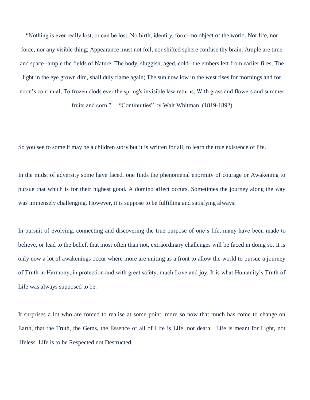"Nothing is ever really lost, or can be lost, No birth, identity, form--no object of the world. Nor life, nor force, nor any visible thing; Appearance must not foil, nor shifted sphere confuse thy brain. Ample are time and space--ample the fields of Nature. The body, sluggish, aged, cold--the embers left from earlier fires, The light in the eye grown dim, shall duly flame again; The sun now low in the west rises for mornings and for noon's continual; To frozen clods ever the spring's invisible law returns, With grass and flowers and summer

fruits and corn." "Continuities" by Walt Whitman (1819-1892)

So you see to some it may be a children story but it is written for all, to learn the true existence of life.

In the midst of adversity some have faced, one finds the phenomenal enormity of courage or Awakening to pursue that which is for their highest good. A domino affect occurs. Sometimes the journey along the way was immensely challenging. However, it is suppose to be fulfilling and satisfying always.

In pursuit of evolving, connecting and discovering the true purpose of one's life, many have been made to believe, or lead to the belief, that most often than not, extraordinary challenges will be faced in doing so. It is only now a lot of awakenings occur where more are uniting as a front to allow the world to pursue a journey of Truth in Harmony, in protection and with great safety, much Love and joy. It is what Humanity's Truth of Life was always supposed to be.

It surprises a lot who are forced to realise at some point, more so now that much has come to change on Earth, that the Truth, the Gems, the Essence of all of Life is Life, not death. Life is meant for Light, not lifeless. Life is to be Respected not Destructed.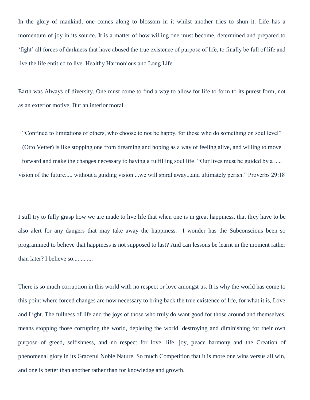In the glory of mankind, one comes along to blossom in it whilst another tries to shun it. Life has a momentum of joy in its source. It is a matter of how willing one must become, determined and prepared to 'fight' all forces of darkness that have abused the true existence of purpose of life, to finally be full of life and live the life entitled to live. Healthy Harmonious and Long Life.

Earth was Always of diversity. One must come to find a way to allow for life to form to its purest form, not as an exterior motive, But an interior moral.

"Confined to limitations of others, who choose to not be happy, for those who do something on soul level" (Otto Vetter) is like stopping one from dreaming and hoping as a way of feeling alive, and willing to move forward and make the changes necessary to having a fulfilling soul life. "Our lives must be guided by a ..... vision of the future..... without a guiding vision ...we will spiral away...and ultimately perish." Proverbs 29:18

I still try to fully grasp how we are made to live life that when one is in great happiness, that they have to be also alert for any dangers that may take away the happiness. I wonder has the Subconscious been so programmed to believe that happiness is not supposed to last? And can lessons be learnt in the moment rather than later? I believe so.............

There is so much corruption in this world with no respect or love amongst us. It is why the world has come to this point where forced changes are now necessary to bring back the true existence of life, for what it is, Love and Light. The fullness of life and the joys of those who truly do want good for those around and themselves, means stopping those corrupting the world, depleting the world, destroying and diminishing for their own purpose of greed, selfishness, and no respect for love, life, joy, peace harmony and the Creation of phenomenal glory in its Graceful Noble Nature. So much Competition that it is more one wins versus all win, and one is better than another rather than for knowledge and growth.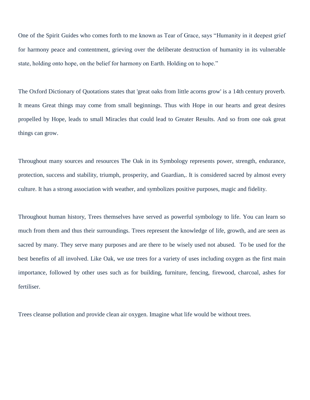One of the Spirit Guides who comes forth to me known as Tear of Grace, says "Humanity in it deepest grief for harmony peace and contentment, grieving over the deliberate destruction of humanity in its vulnerable state, holding onto hope, on the belief for harmony on Earth. Holding on to hope."

The Oxford Dictionary of Quotations states that 'great oaks from little acorns grow' is a 14th century proverb. It means Great things may come from small beginnings. Thus with Hope in our hearts and great desires propelled by Hope, leads to small Miracles that could lead to Greater Results. And so from one oak great things can grow.

Throughout many sources and resources The Oak in its Symbology represents power, strength, endurance, protection, success and stability, triumph, prosperity, and Guardian,. It is considered sacred by almost every culture. It has a strong association with weather, and symbolizes positive purposes, magic and fidelity.

Throughout human history, Trees themselves have served as powerful symbology to life. You can learn so much from them and thus their surroundings. Trees represent the knowledge of life, growth, and are seen as sacred by many. They serve many purposes and are there to be wisely used not abused. To be used for the best benefits of all involved. Like Oak, we use trees for a variety of uses including oxygen as the first main importance, followed by other uses such as for building, furniture, fencing, firewood, charcoal, ashes for fertiliser.

Trees cleanse pollution and provide clean air oxygen. Imagine what life would be without trees.